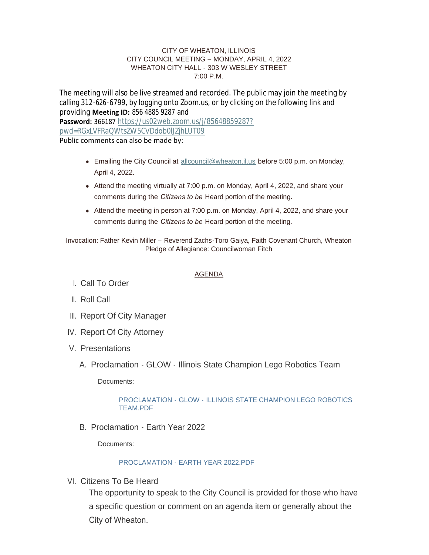#### CITY OF WHEATON, ILLINOIS CITY COUNCIL MEETING – MONDAY, APRIL 4, 2022 WHEATON CITY HALL - 303 W WESLEY STREET 7:00 P.M.

The meeting will also be live streamed and recorded. The public may join the meeting by calling 312-626-6799, by logging onto Zoom.us, or by clicking on the following link and providing **Meeting ID:** 856 4885 9287 and **Password:** 366187 [https://us02web.zoom.us/j/85648859287?](https://us02web.zoom.us/j/85648859287?pwd=RGxLVFRaQWtsZW5CVDdob0lJZjhLUT09) pwd=RGxLVFRaQWtsZW5CVDdob0lJZjhLUT09 Public comments can also be made by:

- **Emailing the City Council at [allcouncil@wheaton.il.us](mailto:allcouncil@wheaton.il.us) before 5:00 p.m. on Monday,** April 4, 2022.
- $\bullet$  Attend the meeting virtually at 7:00 p.m. on Monday, April 4, 2022, and share your comments during the *Citizens to be* Heard portion of the meeting.
- Attend the meeting in person at 7:00 p.m. on Monday, April 4, 2022, and share your comments during the *Citizens to be* Heard portion of the meeting.

Invocation: Father Kevin Miller – Reverend Zachs-Toro Gaiya, Faith Covenant Church, Wheaton Pledge of Allegiance: Councilwoman Fitch

## AGENDA

- Call To Order I.
- ll. Roll Call
- III. Report Of City Manager
- IV. Report Of City Attorney
- V. Presentations
	- A. Proclamation GLOW Illinois State Champion Lego Robotics Team

Documents:

## PROCLAMATION - GLOW - [ILLINOIS STATE CHAMPION LEGO ROBOTICS](https://www.wheaton.il.us/AgendaCenter/ViewFile/Item/8706?fileID=11176)  TEAM.PDF

B. Proclamation - Earth Year 2022

Documents:

# [PROCLAMATION - EARTH YEAR 2022.PDF](https://www.wheaton.il.us/AgendaCenter/ViewFile/Item/8707?fileID=11177)

VI. Citizens To Be Heard

The opportunity to speak to the City Council is provided for those who have a specific question or comment on an agenda item or generally about the City of Wheaton.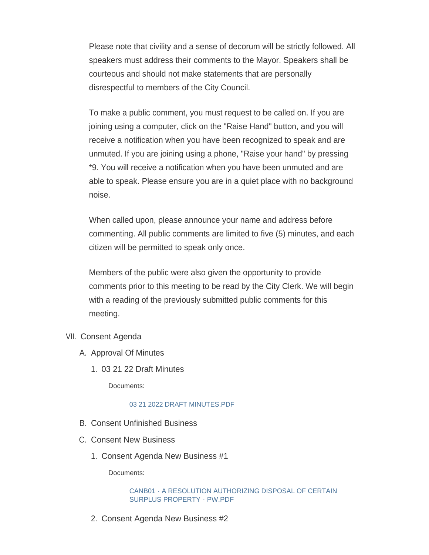Please note that civility and a sense of decorum will be strictly followed. All speakers must address their comments to the Mayor. Speakers shall be courteous and should not make statements that are personally disrespectful to members of the City Council.

To make a public comment, you must request to be called on. If you are joining using a computer, click on the "Raise Hand" button, and you will receive a notification when you have been recognized to speak and are unmuted. If you are joining using a phone, "Raise your hand" by pressing \*9. You will receive a notification when you have been unmuted and are able to speak. Please ensure you are in a quiet place with no background noise.

When called upon, please announce your name and address before commenting. All public comments are limited to five (5) minutes, and each citizen will be permitted to speak only once.

Members of the public were also given the opportunity to provide comments prior to this meeting to be read by the City Clerk. We will begin with a reading of the previously submitted public comments for this meeting.

- VII. Consent Agenda
	- A. Approval Of Minutes
		- 03 21 22 Draft Minutes 1.

Documents:

# [03 21 2022 DRAFT MINUTES.PDF](https://www.wheaton.il.us/AgendaCenter/ViewFile/Item/8711?fileID=11178)

- B. Consent Unfinished Business
- C. Consent New Business
	- 1. Consent Agenda New Business #1

Documents:

### [CANB01 - A RESOLUTION AUTHORIZING DISPOSAL OF CERTAIN](https://www.wheaton.il.us/AgendaCenter/ViewFile/Item/8714?fileID=11179)  SURPLUS PROPERTY - PW.PDF

2. Consent Agenda New Business #2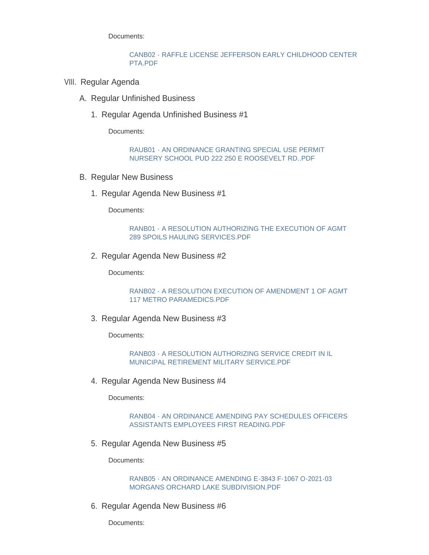Documents:

#### [CANB02 - RAFFLE LICENSE JEFFERSON EARLY CHILDHOOD CENTER](https://www.wheaton.il.us/AgendaCenter/ViewFile/Item/8715?fileID=11180)  PTA.PDF

- VIII. Regular Agenda
	- A. Regular Unfinished Business
		- 1. Regular Agenda Unfinished Business #1

Documents:

[RAUB01 - AN ORDINANCE GRANTING SPECIAL USE PERMIT](https://www.wheaton.il.us/AgendaCenter/ViewFile/Item/8718?fileID=11181)  NURSERY SCHOOL PUD 222 250 E ROOSEVELT RD..PDF

- B. Regular New Business
	- 1. Regular Agenda New Business #1

Documents:

#### [RANB01 - A RESOLUTION AUTHORIZING THE EXECUTION OF AGMT](https://www.wheaton.il.us/AgendaCenter/ViewFile/Item/8720?fileID=11182)  289 SPOILS HAULING SERVICES.PDF

2. Regular Agenda New Business #2

Documents:

[RANB02 - A RESOLUTION EXECUTION OF AMENDMENT 1 OF AGMT](https://www.wheaton.il.us/AgendaCenter/ViewFile/Item/8721?fileID=11183)  117 METRO PARAMEDICS.PDF

3. Regular Agenda New Business #3

Documents:

[RANB03 - A RESOLUTION AUTHORIZING SERVICE CREDIT IN IL](https://www.wheaton.il.us/AgendaCenter/ViewFile/Item/8722?fileID=11184)  MUNICIPAL RETIREMENT MILITARY SERVICE.PDF

4. Regular Agenda New Business #4

Documents:

[RANB04 - AN ORDINANCE AMENDING PAY SCHEDULES OFFICERS](https://www.wheaton.il.us/AgendaCenter/ViewFile/Item/8723?fileID=11185)  ASSISTANTS EMPLOYEES FIRST READING.PDF

5. Regular Agenda New Business #5

Documents:

[RANB05 - AN ORDINANCE AMENDING E-3843 F-1067 O-2021-03](https://www.wheaton.il.us/AgendaCenter/ViewFile/Item/8724?fileID=11186)  MORGANS ORCHARD LAKE SUBDIVISION.PDF

6. Regular Agenda New Business #6

Documents: